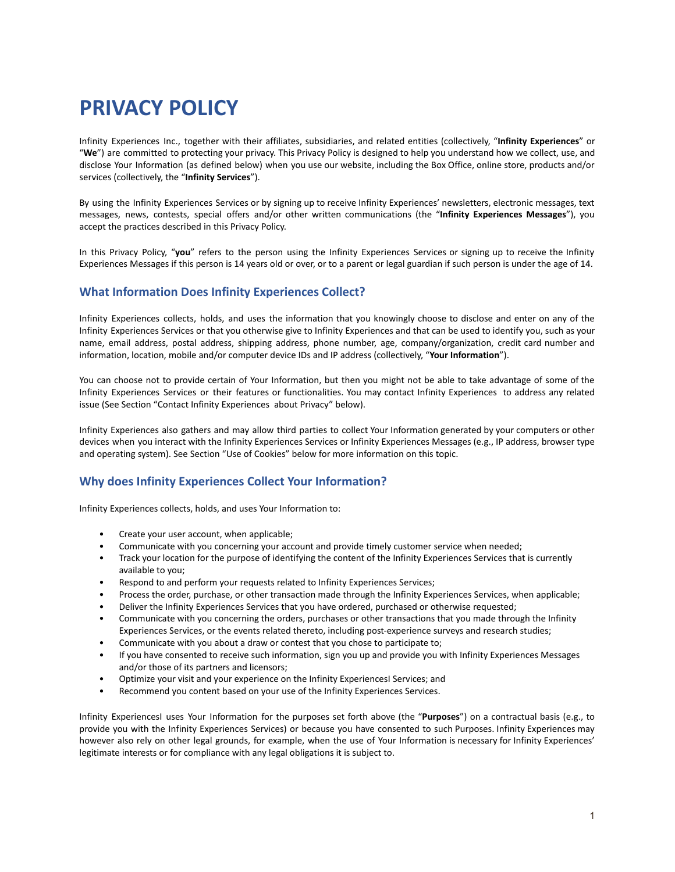# **PRIVACY POLICY**

Infinity Experiences Inc., together with their affiliates, subsidiaries, and related entities (collectively, "**Infinity Experiences**" or "**We**") are committed to protecting your privacy. This Privacy Policy is designed to help you understand how we collect, use, and disclose Your Information (as defined below) when you use our website, including the Box Office, online store, products and/or services (collectively, the "**Infinity Services**").

By using the Infinity Experiences Services or by signing up to receive Infinity Experiences' newsletters, electronic messages, text messages, news, contests, special offers and/or other written communications (the "**Infinity Experiences Messages**"), you accept the practices described in this Privacy Policy.

In this Privacy Policy, "**you**" refers to the person using the Infinity Experiences Services or signing up to receive the Infinity Experiences Messages if this person is 14 years old or over, or to a parent or legal guardian if such person is under the age of 14.

# **What Information Does Infinity Experiences Collect?**

Infinity Experiences collects, holds, and uses the information that you knowingly choose to disclose and enter on any of the Infinity Experiences Services or that you otherwise give to Infinity Experiences and that can be used to identify you, such as your name, email address, postal address, shipping address, phone number, age, company/organization, credit card number and information, location, mobile and/or computer device IDs and IP address (collectively, "**Your Information**").

You can choose not to provide certain of Your Information, but then you might not be able to take advantage of some of the Infinity Experiences Services or their features or functionalities. You may contact Infinity Experiences to address any related issue (See Section "Contact Infinity Experiences about Privacy" below).

Infinity Experiences also gathers and may allow third parties to collect Your Information generated by your computers or other devices when you interact with the Infinity Experiences Services or Infinity Experiences Messages (e.g., IP address, browser type and operating system). See Section "Use of Cookies" below for more information on this topic.

# **Why does Infinity Experiences Collect Your Information?**

Infinity Experiences collects, holds, and uses Your Information to:

- Create your user account, when applicable;
- Communicate with you concerning your account and provide timely customer service when needed;
- Track your location for the purpose of identifying the content of the Infinity Experiences Services that is currently available to you;
- Respond to and perform your requests related to Infinity Experiences Services;
- Process the order, purchase, or other transaction made through the Infinity Experiences Services, when applicable;
- Deliver the Infinity Experiences Services that you have ordered, purchased or otherwise requested;
- Communicate with you concerning the orders, purchases or other transactions that you made through the Infinity Experiences Services, or the events related thereto, including post-experience surveys and research studies;
- Communicate with you about a draw or contest that you chose to participate to;
- If you have consented to receive such information, sign you up and provide you with Infinity Experiences Messages and/or those of its partners and licensors;
- Optimize your visit and your experience on the Infinity ExperiencesI Services; and
- Recommend you content based on your use of the Infinity Experiences Services.

Infinity ExperiencesI uses Your Information for the purposes set forth above (the "**Purposes**") on a contractual basis (e.g., to provide you with the Infinity Experiences Services) or because you have consented to such Purposes. Infinity Experiences may however also rely on other legal grounds, for example, when the use of Your Information is necessary for Infinity Experiences' legitimate interests or for compliance with any legal obligations it is subject to.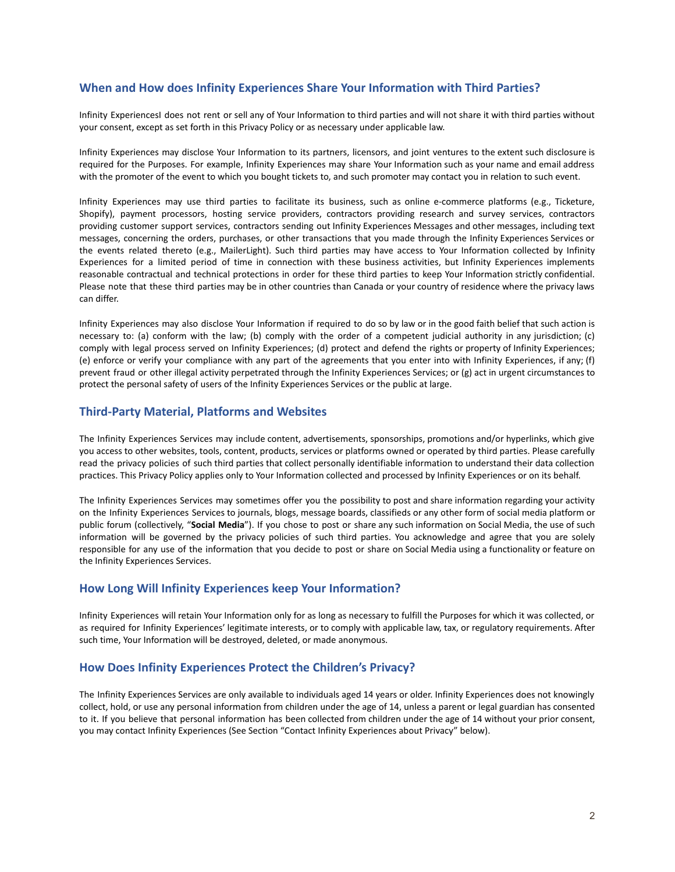## **When and How does Infinity Experiences Share Your Information with Third Parties?**

Infinity ExperiencesI does not rent or sell any of Your Information to third parties and will not share it with third parties without your consent, except as set forth in this Privacy Policy or as necessary under applicable law.

Infinity Experiences may disclose Your Information to its partners, licensors, and joint ventures to the extent such disclosure is required for the Purposes. For example, Infinity Experiences may share Your Information such as your name and email address with the promoter of the event to which you bought tickets to, and such promoter may contact you in relation to such event.

Infinity Experiences may use third parties to facilitate its business, such as online e-commerce platforms (e.g., Ticketure, Shopify), payment processors, hosting service providers, contractors providing research and survey services, contractors providing customer support services, contractors sending out Infinity Experiences Messages and other messages, including text messages, concerning the orders, purchases, or other transactions that you made through the Infinity Experiences Services or the events related thereto (e.g., MailerLight). Such third parties may have access to Your Information collected by Infinity Experiences for a limited period of time in connection with these business activities, but Infinity Experiences implements reasonable contractual and technical protections in order for these third parties to keep Your Information strictly confidential. Please note that these third parties may be in other countries than Canada or your country of residence where the privacy laws can differ.

Infinity Experiences may also disclose Your Information if required to do so by law or in the good faith belief that such action is necessary to: (a) conform with the law; (b) comply with the order of a competent judicial authority in any jurisdiction; (c) comply with legal process served on Infinity Experiences; (d) protect and defend the rights or property of Infinity Experiences; (e) enforce or verify your compliance with any part of the agreements that you enter into with Infinity Experiences, if any; (f) prevent fraud or other illegal activity perpetrated through the Infinity Experiences Services; or (g) act in urgent circumstances to protect the personal safety of users of the Infinity Experiences Services or the public at large.

## **Third-Party Material, Platforms and Websites**

The Infinity Experiences Services may include content, advertisements, sponsorships, promotions and/or hyperlinks, which give you access to other websites, tools, content, products, services or platforms owned or operated by third parties. Please carefully read the privacy policies of such third parties that collect personally identifiable information to understand their data collection practices. This Privacy Policy applies only to Your Information collected and processed by Infinity Experiences or on its behalf.

The Infinity Experiences Services may sometimes offer you the possibility to post and share information regarding your activity on the Infinity Experiences Services to journals, blogs, message boards, classifieds or any other form of social media platform or public forum (collectively, "**Social Media**"). If you chose to post or share any such information on Social Media, the use of such information will be governed by the privacy policies of such third parties. You acknowledge and agree that you are solely responsible for any use of the information that you decide to post or share on Social Media using a functionality or feature on the Infinity Experiences Services.

## **How Long Will Infinity Experiences keep Your Information?**

Infinity Experiences will retain Your Information only for as long as necessary to fulfill the Purposes for which it was collected, or as required for Infinity Experiences' legitimate interests, or to comply with applicable law, tax, or regulatory requirements. After such time, Your Information will be destroyed, deleted, or made anonymous.

## **How Does Infinity Experiences Protect the Children's Privacy?**

The Infinity Experiences Services are only available to individuals aged 14 years or older. Infinity Experiences does not knowingly collect, hold, or use any personal information from children under the age of 14, unless a parent or legal guardian has consented to it. If you believe that personal information has been collected from children under the age of 14 without your prior consent, you may contact Infinity Experiences (See Section "Contact Infinity Experiences about Privacy" below).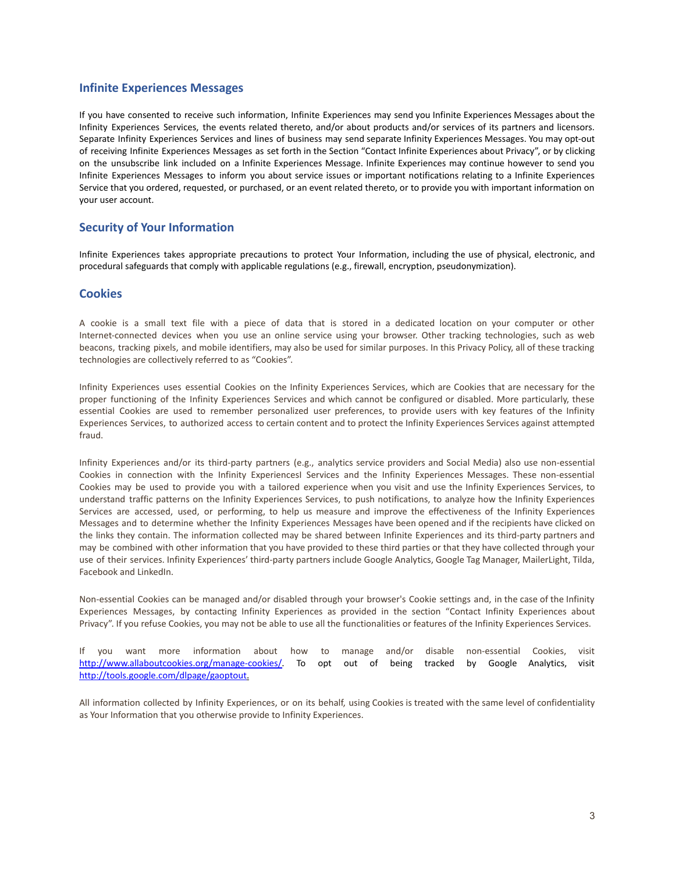## **Infinite Experiences Messages**

If you have consented to receive such information, Infinite Experiences may send you Infinite Experiences Messages about the Infinity Experiences Services, the events related thereto, and/or about products and/or services of its partners and licensors. Separate Infinity Experiences Services and lines of business may send separate Infinity Experiences Messages. You may opt-out of receiving Infinite Experiences Messages as set forth in the Section "Contact Infinite Experiences about Privacy", or by clicking on the unsubscribe link included on a Infinite Experiences Message. Infinite Experiences may continue however to send you Infinite Experiences Messages to inform you about service issues or important notifications relating to a Infinite Experiences Service that you ordered, requested, or purchased, or an event related thereto, or to provide you with important information on your user account.

# **Security of Your Information**

Infinite Experiences takes appropriate precautions to protect Your Information, including the use of physical, electronic, and procedural safeguards that comply with applicable regulations (e.g., firewall, encryption, pseudonymization).

## **Cookies**

A cookie is a small text file with a piece of data that is stored in a dedicated location on your computer or other Internet-connected devices when you use an online service using your browser. Other tracking technologies, such as web beacons, tracking pixels, and mobile identifiers, may also be used for similar purposes. In this Privacy Policy, all of these tracking technologies are collectively referred to as "Cookies".

Infinity Experiences uses essential Cookies on the Infinity Experiences Services, which are Cookies that are necessary for the proper functioning of the Infinity Experiences Services and which cannot be configured or disabled. More particularly, these essential Cookies are used to remember personalized user preferences, to provide users with key features of the Infinity Experiences Services, to authorized access to certain content and to protect the Infinity Experiences Services against attempted fraud.

Infinity Experiences and/or its third-party partners (e.g., analytics service providers and Social Media) also use non-essential Cookies in connection with the Infinity ExperiencesI Services and the Infinity Experiences Messages. These non-essential Cookies may be used to provide you with a tailored experience when you visit and use the Infinity Experiences Services, to understand traffic patterns on the Infinity Experiences Services, to push notifications, to analyze how the Infinity Experiences Services are accessed, used, or performing, to help us measure and improve the effectiveness of the Infinity Experiences Messages and to determine whether the Infinity Experiences Messages have been opened and if the recipients have clicked on the links they contain. The information collected may be shared between Infinite Experiences and its third-party partners and may be combined with other information that you have provided to these third parties or that they have collected through your use of their services. Infinity Experiences' third-party partners include Google Analytics, Google Tag Manager, MailerLight, Tilda, Facebook and LinkedIn.

Non-essential Cookies can be managed and/or disabled through your browser's Cookie settings and, in the case of the Infinity Experiences Messages, by contacting Infinity Experiences as provided in the section "Contact Infinity Experiences about Privacy". If you refuse Cookies, you may not be able to use all the functionalities or features of the Infinity Experiences Services.

If you want more information about how to manage and/or disable non-essential Cookies, visit [http://www.allaboutcookies.org/manage-cookies/.](http://www.allaboutcookies.org/manage-cookies/) To opt out of being tracked by Google Analytics, visit [http://tools.google.com/dlpage/gaoptout.](http://tools.google.com/dlpage/gaoptout)

All information collected by Infinity Experiences, or on its behalf, using Cookies is treated with the same level of confidentiality as Your Information that you otherwise provide to Infinity Experiences.